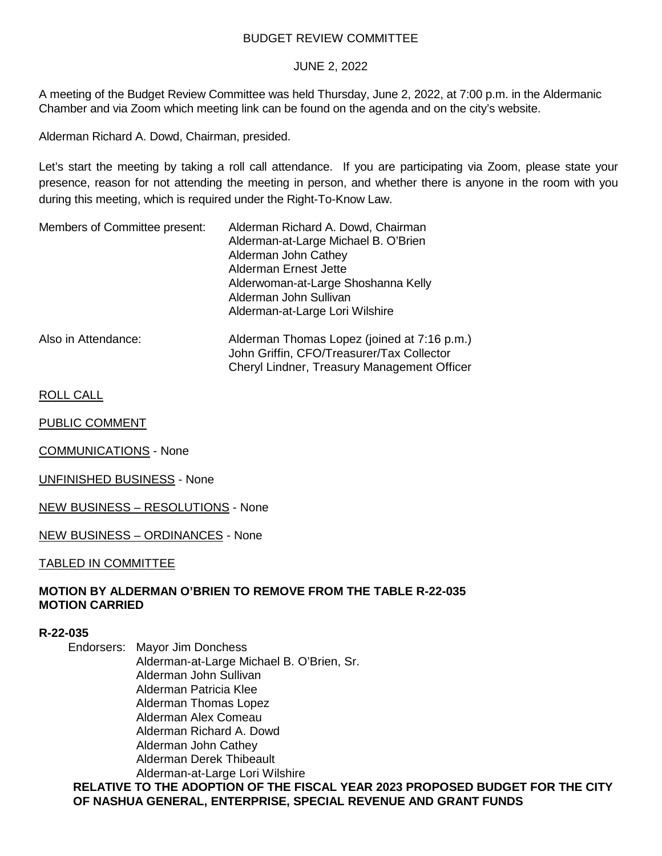### BUDGET REVIEW COMMITTEE

### JUNE 2, 2022

A meeting of the Budget Review Committee was held Thursday, June 2, 2022, at 7:00 p.m. in the Aldermanic Chamber and via Zoom which meeting link can be found on the agenda and on the city's website.

Alderman Richard A. Dowd, Chairman, presided.

Let's start the meeting by taking a roll call attendance. If you are participating via Zoom, please state your presence, reason for not attending the meeting in person, and whether there is anyone in the room with you during this meeting, which is required under the Right-To-Know Law.

| Members of Committee present: | Alderman Richard A. Dowd, Chairman<br>Alderman-at-Large Michael B. O'Brien<br>Alderman John Cathey                                      |  |
|-------------------------------|-----------------------------------------------------------------------------------------------------------------------------------------|--|
|                               | Alderman Ernest Jette<br>Alderwoman-at-Large Shoshanna Kelly<br>Alderman John Sullivan<br>Alderman-at-Large Lori Wilshire               |  |
| Also in Attendance:           | Alderman Thomas Lopez (joined at 7:16 p.m.)<br>John Griffin, CFO/Treasurer/Tax Collector<br>Cheryl Lindner, Treasury Management Officer |  |

ROLL CALL

PUBLIC COMMENT

COMMUNICATIONS - None

UNFINISHED BUSINESS - None

NEW BUSINESS – RESOLUTIONS - None

NEW BUSINESS – ORDINANCES - None

TABLED IN COMMITTEE

## **MOTION BY ALDERMAN O'BRIEN TO REMOVE FROM THE TABLE R-22-035 MOTION CARRIED**

### **R-22-035**

Endorsers: Mayor Jim Donchess Alderman-at-Large Michael B. O'Brien, Sr. Alderman John Sullivan Alderman Patricia Klee Alderman Thomas Lopez Alderman Alex Comeau Alderman Richard A. Dowd Alderman John Cathey Alderman Derek Thibeault Alderman-at-Large Lori Wilshire

**RELATIVE TO THE ADOPTION OF THE FISCAL YEAR 2023 PROPOSED BUDGET FOR THE CITY OF NASHUA GENERAL, ENTERPRISE, SPECIAL REVENUE AND GRANT FUNDS**